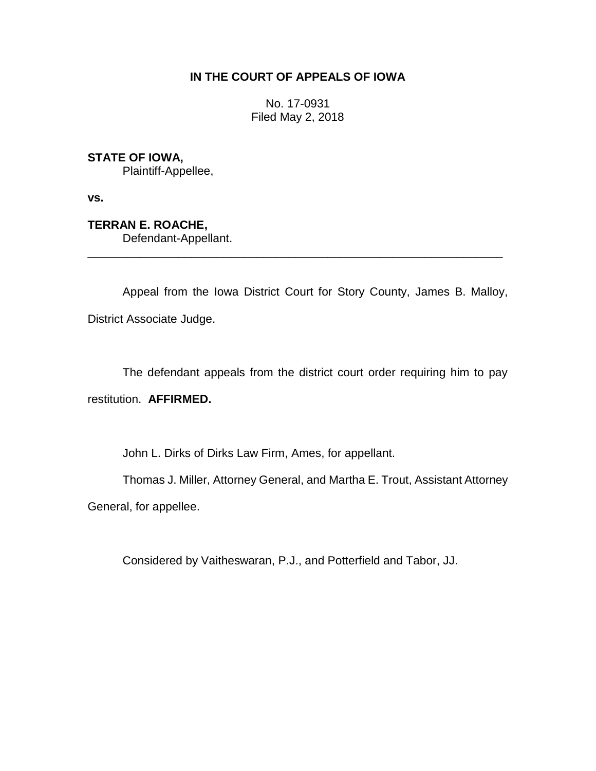## **IN THE COURT OF APPEALS OF IOWA**

No. 17-0931 Filed May 2, 2018

**STATE OF IOWA,**

Plaintiff-Appellee,

**vs.**

**TERRAN E. ROACHE,** Defendant-Appellant.

Appeal from the Iowa District Court for Story County, James B. Malloy, District Associate Judge.

\_\_\_\_\_\_\_\_\_\_\_\_\_\_\_\_\_\_\_\_\_\_\_\_\_\_\_\_\_\_\_\_\_\_\_\_\_\_\_\_\_\_\_\_\_\_\_\_\_\_\_\_\_\_\_\_\_\_\_\_\_\_\_\_

The defendant appeals from the district court order requiring him to pay restitution. **AFFIRMED.**

John L. Dirks of Dirks Law Firm, Ames, for appellant.

Thomas J. Miller, Attorney General, and Martha E. Trout, Assistant Attorney

General, for appellee.

Considered by Vaitheswaran, P.J., and Potterfield and Tabor, JJ.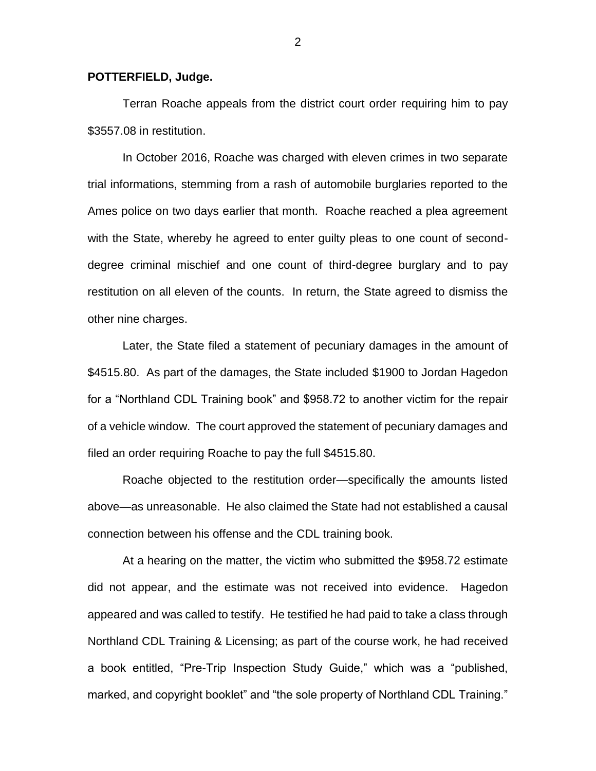## **POTTERFIELD, Judge.**

Terran Roache appeals from the district court order requiring him to pay \$3557.08 in restitution.

In October 2016, Roache was charged with eleven crimes in two separate trial informations, stemming from a rash of automobile burglaries reported to the Ames police on two days earlier that month. Roache reached a plea agreement with the State, whereby he agreed to enter guilty pleas to one count of seconddegree criminal mischief and one count of third-degree burglary and to pay restitution on all eleven of the counts. In return, the State agreed to dismiss the other nine charges.

Later, the State filed a statement of pecuniary damages in the amount of \$4515.80. As part of the damages, the State included \$1900 to Jordan Hagedon for a "Northland CDL Training book" and \$958.72 to another victim for the repair of a vehicle window. The court approved the statement of pecuniary damages and filed an order requiring Roache to pay the full \$4515.80.

Roache objected to the restitution order—specifically the amounts listed above—as unreasonable. He also claimed the State had not established a causal connection between his offense and the CDL training book.

At a hearing on the matter, the victim who submitted the \$958.72 estimate did not appear, and the estimate was not received into evidence. Hagedon appeared and was called to testify. He testified he had paid to take a class through Northland CDL Training & Licensing; as part of the course work, he had received a book entitled, "Pre-Trip Inspection Study Guide," which was a "published, marked, and copyright booklet" and "the sole property of Northland CDL Training."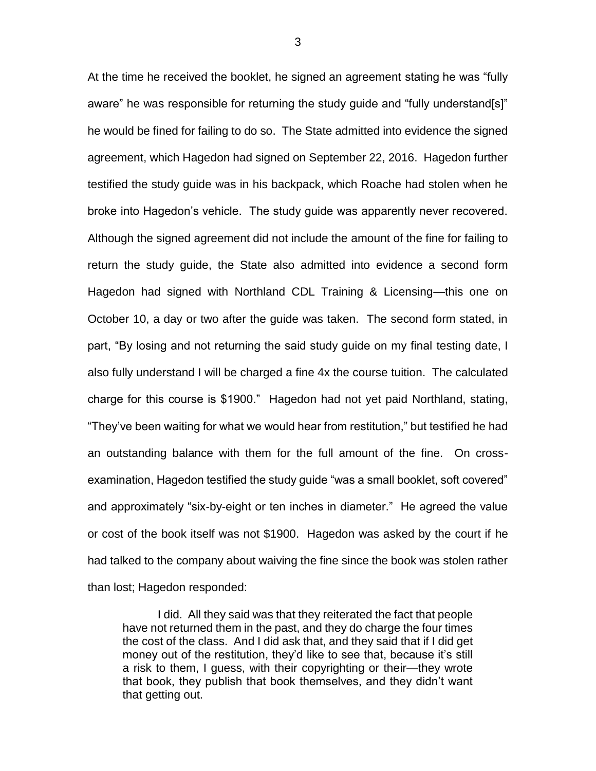At the time he received the booklet, he signed an agreement stating he was "fully aware" he was responsible for returning the study guide and "fully understand[s]" he would be fined for failing to do so. The State admitted into evidence the signed agreement, which Hagedon had signed on September 22, 2016. Hagedon further testified the study guide was in his backpack, which Roache had stolen when he broke into Hagedon's vehicle. The study guide was apparently never recovered. Although the signed agreement did not include the amount of the fine for failing to return the study guide, the State also admitted into evidence a second form Hagedon had signed with Northland CDL Training & Licensing—this one on October 10, a day or two after the guide was taken. The second form stated, in part, "By losing and not returning the said study guide on my final testing date, I also fully understand I will be charged a fine 4x the course tuition. The calculated charge for this course is \$1900." Hagedon had not yet paid Northland, stating, "They've been waiting for what we would hear from restitution," but testified he had an outstanding balance with them for the full amount of the fine. On crossexamination, Hagedon testified the study guide "was a small booklet, soft covered" and approximately "six-by-eight or ten inches in diameter." He agreed the value or cost of the book itself was not \$1900. Hagedon was asked by the court if he had talked to the company about waiving the fine since the book was stolen rather than lost; Hagedon responded:

I did. All they said was that they reiterated the fact that people have not returned them in the past, and they do charge the four times the cost of the class. And I did ask that, and they said that if I did get money out of the restitution, they'd like to see that, because it's still a risk to them, I guess, with their copyrighting or their—they wrote that book, they publish that book themselves, and they didn't want that getting out.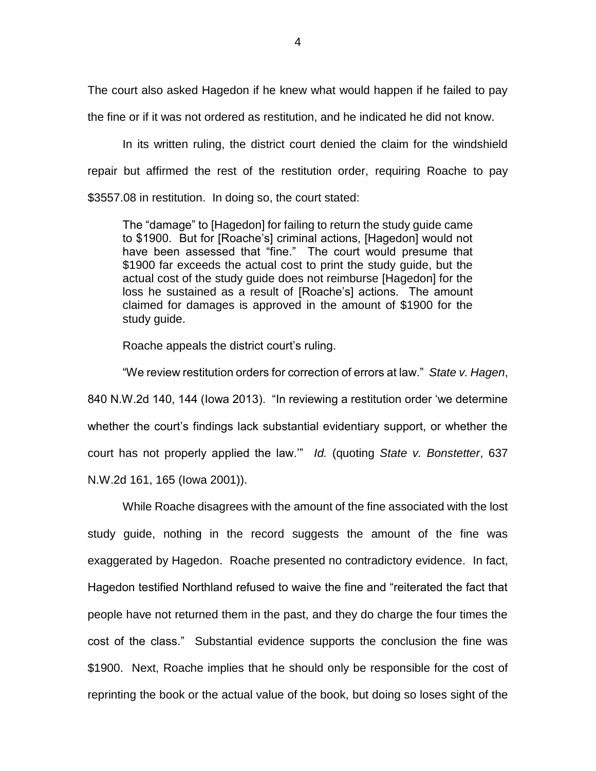The court also asked Hagedon if he knew what would happen if he failed to pay the fine or if it was not ordered as restitution, and he indicated he did not know.

In its written ruling, the district court denied the claim for the windshield repair but affirmed the rest of the restitution order, requiring Roache to pay \$3557.08 in restitution. In doing so, the court stated:

The "damage" to [Hagedon] for failing to return the study guide came to \$1900. But for [Roache's] criminal actions, [Hagedon] would not have been assessed that "fine." The court would presume that \$1900 far exceeds the actual cost to print the study guide, but the actual cost of the study guide does not reimburse [Hagedon] for the loss he sustained as a result of [Roache's] actions. The amount claimed for damages is approved in the amount of \$1900 for the study guide.

Roache appeals the district court's ruling.

"We review restitution orders for correction of errors at law." *State v. Hagen*, 840 N.W.2d 140, 144 (Iowa 2013). "In reviewing a restitution order 'we determine whether the court's findings lack substantial evidentiary support, or whether the court has not properly applied the law.'" *Id.* (quoting *State v. Bonstetter*, 637 N.W.2d 161, 165 (Iowa 2001)).

While Roache disagrees with the amount of the fine associated with the lost study guide, nothing in the record suggests the amount of the fine was exaggerated by Hagedon. Roache presented no contradictory evidence. In fact, Hagedon testified Northland refused to waive the fine and "reiterated the fact that people have not returned them in the past, and they do charge the four times the cost of the class." Substantial evidence supports the conclusion the fine was \$1900. Next, Roache implies that he should only be responsible for the cost of reprinting the book or the actual value of the book, but doing so loses sight of the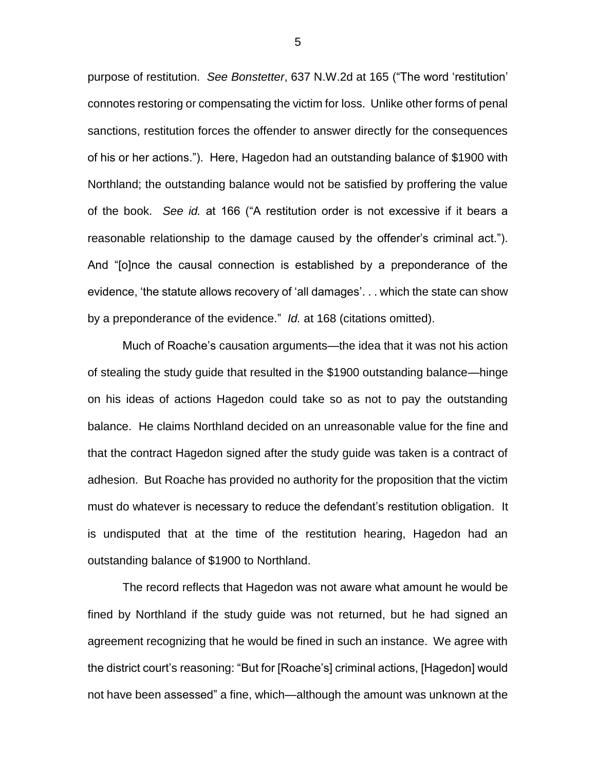purpose of restitution. *See Bonstetter*, 637 N.W.2d at 165 ("The word 'restitution' connotes restoring or compensating the victim for loss. Unlike other forms of penal sanctions, restitution forces the offender to answer directly for the consequences of his or her actions."). Here, Hagedon had an outstanding balance of \$1900 with Northland; the outstanding balance would not be satisfied by proffering the value of the book. *See id.* at 166 ("A restitution order is not excessive if it bears a reasonable relationship to the damage caused by the offender's criminal act."). And "[o]nce the causal connection is established by a preponderance of the evidence, 'the statute allows recovery of 'all damages'. . . which the state can show by a preponderance of the evidence." *Id.* at 168 (citations omitted).

Much of Roache's causation arguments—the idea that it was not his action of stealing the study guide that resulted in the \$1900 outstanding balance—hinge on his ideas of actions Hagedon could take so as not to pay the outstanding balance. He claims Northland decided on an unreasonable value for the fine and that the contract Hagedon signed after the study guide was taken is a contract of adhesion. But Roache has provided no authority for the proposition that the victim must do whatever is necessary to reduce the defendant's restitution obligation. It is undisputed that at the time of the restitution hearing, Hagedon had an outstanding balance of \$1900 to Northland.

The record reflects that Hagedon was not aware what amount he would be fined by Northland if the study guide was not returned, but he had signed an agreement recognizing that he would be fined in such an instance. We agree with the district court's reasoning: "But for [Roache's] criminal actions, [Hagedon] would not have been assessed" a fine, which—although the amount was unknown at the

5